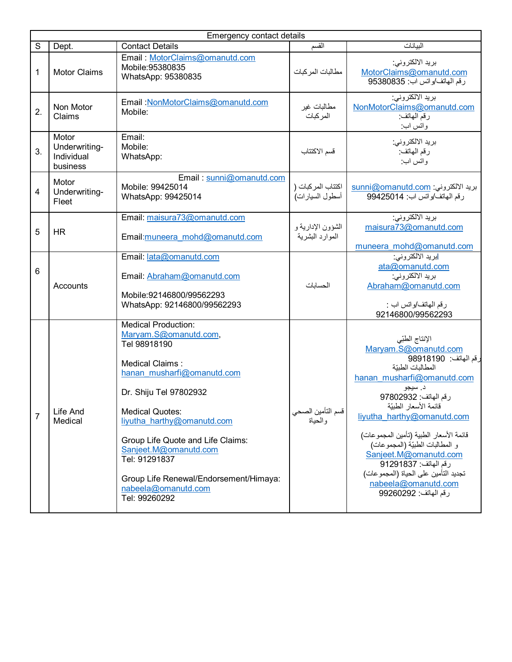|                | Emergency contact details                        |                                                                                                                                                                                                                                                                                                                                                                         |                                      |                                                                                                                                                                                                                                                                                                                                                                                                                                   |  |  |  |  |
|----------------|--------------------------------------------------|-------------------------------------------------------------------------------------------------------------------------------------------------------------------------------------------------------------------------------------------------------------------------------------------------------------------------------------------------------------------------|--------------------------------------|-----------------------------------------------------------------------------------------------------------------------------------------------------------------------------------------------------------------------------------------------------------------------------------------------------------------------------------------------------------------------------------------------------------------------------------|--|--|--|--|
| S              | Dept.                                            | <b>Contact Details</b>                                                                                                                                                                                                                                                                                                                                                  | القسم                                | البيانات                                                                                                                                                                                                                                                                                                                                                                                                                          |  |  |  |  |
| 1              | <b>Motor Claims</b>                              | Email: MotorClaims@omanutd.com<br>Mobile: 95380835<br>WhatsApp: 95380835                                                                                                                                                                                                                                                                                                | مطالبات المركبات                     | بريد الالكتروني:<br>MotorClaims@omanutd.com<br>رقم الهاتف/واتس اب: 95380835                                                                                                                                                                                                                                                                                                                                                       |  |  |  |  |
| 2.             | Non Motor<br>Claims                              | Email : NonMotorClaims@omanutd.com<br>Mobile:                                                                                                                                                                                                                                                                                                                           | مطالبات غير<br>المر كبات             | بريد الالكتروني:<br>NonMotorClaims@omanutd.com<br>رقم المهاتف:<br>وانس اب                                                                                                                                                                                                                                                                                                                                                         |  |  |  |  |
| 3.             | Motor<br>Underwriting-<br>Individual<br>business | Email:<br>Mobile:<br>WhatsApp:                                                                                                                                                                                                                                                                                                                                          | قسم الاكتتاب                         | بريد الالكتروني:<br>رقم المهاتف:<br>واتس اب:                                                                                                                                                                                                                                                                                                                                                                                      |  |  |  |  |
| $\overline{4}$ | Motor<br>Underwriting-<br>Fleet                  | Email: sunni@omanutd.com<br>Mobile: 99425014<br>WhatsApp: 99425014                                                                                                                                                                                                                                                                                                      | اكتتاب المركبات (<br>أسطول السيارات) | بريد الالكتروني: sunni@omanutd.com<br>رقم المهاتف /واتس اب: 99425014                                                                                                                                                                                                                                                                                                                                                              |  |  |  |  |
| 5              | <b>HR</b>                                        | Email: maisura73@omanutd.com<br>Email: muneera mohd@omanutd.com                                                                                                                                                                                                                                                                                                         | الشؤون الإدارية و<br>الموارد البشرية | بريد الالكتروني:<br>maisura73@omanutd.com<br>muneera_mohd@omanutd.com                                                                                                                                                                                                                                                                                                                                                             |  |  |  |  |
| 6              | Accounts                                         | Email: lata@omanutd.com<br>Email: Abraham@omanutd.com<br>Mobile:92146800/99562293<br>WhatsApp: 92146800/99562293                                                                                                                                                                                                                                                        | الحسابات                             | <mark>ابرید الالکترونی:</mark><br>ata@omanutd.com<br>بريد الالكتروني:<br>Abraham@omanutd.com<br>رقم المهاتف/واتس اب :<br>92146800/99562293                                                                                                                                                                                                                                                                                        |  |  |  |  |
| $\overline{7}$ | Life And<br>Medical                              | <b>Medical Production:</b><br>Maryam.S@omanutd.com,<br>Tel 98918190<br>Medical Claims:<br>hanan musharfi@omanutd.com<br>Dr. Shiju Tel 97802932<br><b>Medical Quotes:</b><br>liyutha harthy@omanutd.com<br>Group Life Quote and Life Claims:<br>Sanjeet.M@omanutd.com<br>Tel: 91291837<br>Group Life Renewal/Endorsement/Himaya:<br>nabeela@omanutd.com<br>Tel: 99260292 | قسم التأمين الصحي<br>والحياة         | الإنتاج الطبّي<br>Maryam.S@omanutd.com<br>رقم الهاتف: 98918190<br>المطالبات الطبيّة<br>hanan musharfi@omanutd.com<br>د. سيجو<br>رقم الهاتف: 97802932<br>قائمة الأسعار الطبيّة<br>liyutha harthy@omanutd.com<br>قائمة الأسعار الطبية (تأمين المجموعات)<br>و المطالبات الطبيّة (المجموعات)<br>Sanjeet.M@omanutd.com<br>رقم الهاتف: 91291837<br>تجديد التأمين على الحياة (المجمو عات)<br>nabeela@omanutd.com<br>رقم الهاتف: 99260292 |  |  |  |  |